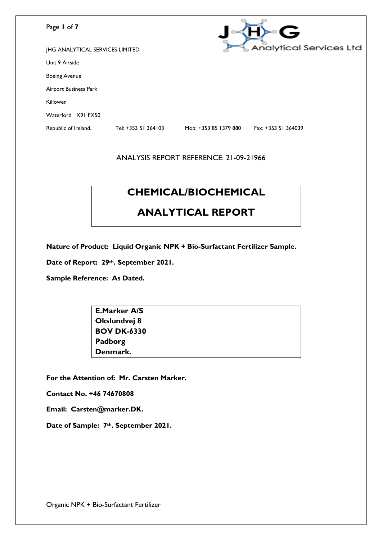| Page 1 of 7                            |                     |                       | G                              |
|----------------------------------------|---------------------|-----------------------|--------------------------------|
| <b>JHG ANALYTICAL SERVICES LIMITED</b> |                     |                       | <b>Analytical Services Ltd</b> |
| Unit 9 Airside                         |                     |                       |                                |
| <b>Boeing Avenue</b>                   |                     |                       |                                |
| Airport Business Park                  |                     |                       |                                |
| Killowen                               |                     |                       |                                |
| Waterford X91 FX50                     |                     |                       |                                |
| Republic of Ireland.                   | Tel: +353 51 364103 | Mob: +353 85 1379 880 | Fax: +353 51 364039            |

# **CHEMICAL/BIOCHEMICAL**

## **ANALYTICAL REPORT**

**Nature of Product: Liquid Organic NPK + Bio-Surfactant Fertilizer Sample.**

**Date of Report: 29th. September 2021.**

**Sample Reference: As Dated.**

| <b>E.Marker A/S</b> |  |
|---------------------|--|
| Okslundvej 8        |  |
| <b>BOV DK-6330</b>  |  |
| Padborg             |  |
| Denmark.            |  |

**For the Attention of: Mr. Carsten Marker.**

**Contact No. +46 74670808**

**Email: Carsten@marker.DK.**

**Date of Sample: 7th. September 2021.**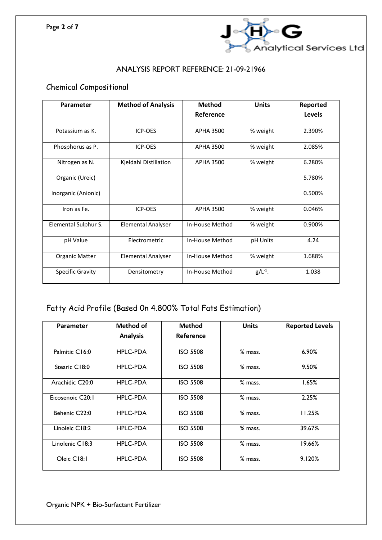

## Chemical Compositional

| Parameter            | <b>Method of Analysis</b> | <b>Method</b><br>Reference | <b>Units</b> | Reported<br><b>Levels</b> |
|----------------------|---------------------------|----------------------------|--------------|---------------------------|
| Potassium as K.      | ICP-OES                   | APHA 3500                  | % weight     | 2.390%                    |
| Phosphorus as P.     | ICP-OES                   | <b>APHA 3500</b>           | % weight     | 2.085%                    |
| Nitrogen as N.       | Kjeldahl Distillation     | <b>APHA 3500</b>           | % weight     | 6.280%                    |
| Organic (Ureic)      |                           |                            |              | 5.780%                    |
| Inorganic (Anionic)  |                           |                            |              | 0.500%                    |
| Iron as Fe.          | ICP-OES                   | <b>APHA 3500</b>           | % weight     | 0.046%                    |
| Elemental Sulphur S. | <b>Elemental Analyser</b> | In-House Method            | % weight     | 0.900%                    |
| pH Value             | Electrometric             | In-House Method            | pH Units     | 4.24                      |
| Organic Matter       | <b>Elemental Analyser</b> | In-House Method            | % weight     | 1.688%                    |
| Specific Gravity     | Densitometry              | In-House Method            | $g/L^{-1}$ . | 1.038                     |

## Fatty Acid Profile (Based 0n 4.800% Total Fats Estimation)

| Parameter        | Method of       | <b>Method</b>   | <b>Units</b> | <b>Reported Levels</b> |
|------------------|-----------------|-----------------|--------------|------------------------|
|                  | <b>Analysis</b> | Reference       |              |                        |
| Palmitic C16:0   | <b>HPLC-PDA</b> | <b>ISO 5508</b> | % mass.      | 6.90%                  |
| Stearic C18:0    | <b>HPLC-PDA</b> | <b>ISO 5508</b> | % mass.      | 9.50%                  |
| Arachidic C20:0  | <b>HPLC-PDA</b> | <b>ISO 5508</b> | % mass.      | 1.65%                  |
| Eicosenoic C20:1 | <b>HPLC-PDA</b> | <b>ISO 5508</b> | % mass.      | 2.25%                  |
| Behenic C22:0    | <b>HPLC-PDA</b> | <b>ISO 5508</b> | % mass.      | 11.25%                 |
| Linoleic C18:2   | <b>HPLC-PDA</b> | <b>ISO 5508</b> | % mass.      | 39.67%                 |
| Linolenic C18:3  | <b>HPLC-PDA</b> | <b>ISO 5508</b> | % mass.      | 19.66%                 |
| Oleic C18:1      | <b>HPLC-PDA</b> | <b>ISO 5508</b> | % mass.      | 9.120%                 |

Organic NPK + Bio-Surfactant Fertilizer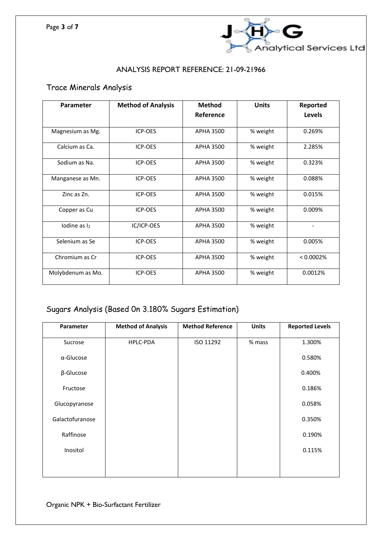

## Trace Minerals Analysis

| Parameter         | <b>Method of Analysis</b> | <b>Method</b>    | <b>Units</b> | Reported  |
|-------------------|---------------------------|------------------|--------------|-----------|
|                   |                           | Reference        |              | Levels    |
| Magnesium as Mg.  | <b>ICP-OES</b>            | APHA 3500        | % weight     | 0.269%    |
| Calcium as Ca.    | <b>ICP-OES</b>            | APHA 3500        | % weight     | 2.285%    |
| Sodium as Na.     | ICP-OES                   | APHA 3500        | % weight     | 0.323%    |
| Manganese as Mn.  | <b>ICP-OES</b>            | <b>APHA 3500</b> | % weight     | 0.088%    |
| Zinc as Zn.       | ICP-OES                   | <b>APHA 3500</b> | % weight     | 0.015%    |
| Copper as Cu      | ICP-OES                   | <b>APHA 3500</b> | % weight     | 0.009%    |
| Iodine as $I_2$   | IC/ICP-OES                | <b>APHA 3500</b> | % weight     |           |
| Selenium as Se    | <b>ICP-OES</b>            | <b>APHA 3500</b> | % weight     | 0.005%    |
| Chromium as Cr    | ICP-OES                   | <b>APHA 3500</b> | % weight     | < 0.0002% |
| Molybdenum as Mo. | ICP-OES                   | <b>APHA 3500</b> | % weight     | 0.0012%   |

## Sugars Analysis (Based 0n 3.180% Sugars Estimation)

| Parameter         | <b>Method of Analysis</b> | <b>Method Reference</b> | <b>Units</b> | <b>Reported Levels</b> |
|-------------------|---------------------------|-------------------------|--------------|------------------------|
| Sucrose           | HPLC-PDA                  | ISO 11292               | % mass       | 1.300%                 |
| $\alpha$ -Glucose |                           |                         |              | 0.580%                 |
| $\beta$ -Glucose  |                           |                         |              | 0.400%                 |
| Fructose          |                           |                         |              | 0.186%                 |
| Glucopyranose     |                           |                         |              | 0.058%                 |
| Galactofuranose   |                           |                         |              | 0.350%                 |
| Raffinose         |                           |                         |              | 0.190%                 |
| Inositol          |                           |                         |              | 0.115%                 |
|                   |                           |                         |              |                        |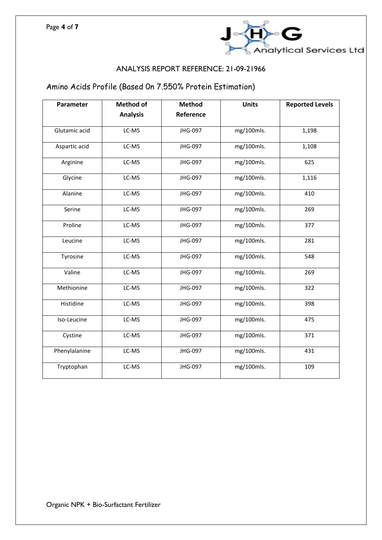

## Amino Acids Profile (Based 0n 7.550% Protein Estimation)

| Parameter     | <b>Method of</b> | <b>Method</b> | <b>Units</b> | <b>Reported Levels</b> |
|---------------|------------------|---------------|--------------|------------------------|
|               | <b>Analysis</b>  | Reference     |              |                        |
| Glutamic acid | LC-MS            | JHG-097       | mg/100mls.   | 1,198                  |
| Aspartic acid | LC-MS            | JHG-097       | mg/100mls.   | 1,108                  |
| Arginine      | LC-MS            | JHG-097       | mg/100mls.   | 625                    |
| Glycine       | LC-MS            | JHG-097       | mg/100mls.   | 1,116                  |
| Alanine       | LC-MS            | JHG-097       | mg/100mls.   | 410                    |
| Serine        | LC-MS            | JHG-097       | mg/100mls.   | 269                    |
| Proline       | LC-MS            | JHG-097       | mg/100mls.   | 377                    |
| Leucine       | LC-MS            | JHG-097       | mg/100mls.   | 281                    |
| Tyrosine      | LC-MS            | JHG-097       | mg/100mls.   | 548                    |
| Valine        | LC-MS            | JHG-097       | mg/100mls.   | 269                    |
| Methionine    | LC-MS            | JHG-097       | mg/100mls.   | 322                    |
| Histidine     | LC-MS            | JHG-097       | mg/100mls.   | 398                    |
| Iso-Leucine   | LC-MS            | JHG-097       | mg/100mls.   | 475                    |
| Cystine       | LC-MS            | JHG-097       | mg/100mls.   | 371                    |
| Phenylalanine | LC-MS            | JHG-097       | mg/100mls.   | 431                    |
| Tryptophan    | LC-MS            | JHG-097       | mg/100mls.   | 109                    |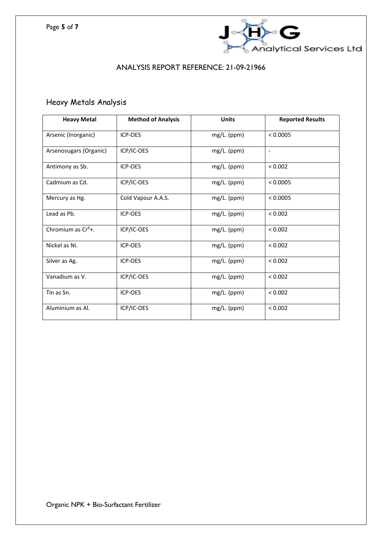

## Heavy Metals Analysis

| <b>Heavy Metal</b>             | <b>Method of Analysis</b> | <b>Units</b>  | <b>Reported Results</b>  |
|--------------------------------|---------------------------|---------------|--------------------------|
| Arsenic (Inorganic)            | ICP-OES                   | mg/L. (ppm)   | < 0.0005                 |
| Arsenosugars (Organic)         | ICP/IC-OES                | mg/L. (ppm)   | $\overline{\phantom{a}}$ |
| Antimony as Sb.                | ICP-OES                   | mg/L. (ppm)   | < 0.002                  |
| Cadmium as Cd.                 | ICP/IC-OES                | mg/L. (ppm)   | < 0.0005                 |
| Mercury as Hg.                 | Cold Vapour A.A.S.        | mg/L. (ppm)   | < 0.0005                 |
| Lead as Pb.                    | ICP-OES                   | $mg/L.$ (ppm) | < 0.002                  |
| Chromium as Cr <sup>6</sup> +. | ICP/IC-OES                | mg/L. (ppm)   | < 0.002                  |
| Nickel as Ni.                  | ICP-OES                   | mg/L. (ppm)   | < 0.002                  |
| Silver as Ag.                  | ICP-OES                   | mg/L. (ppm)   | < 0.002                  |
| Vanadium as V.                 | ICP/IC-OES                | mg/L. (ppm)   | < 0.002                  |
| Tin as Sn.                     | ICP-OES                   | mg/L. (ppm)   | < 0.002                  |
| Aluminium as Al.               | ICP/IC-OES                | mg/L. (ppm)   | < 0.002                  |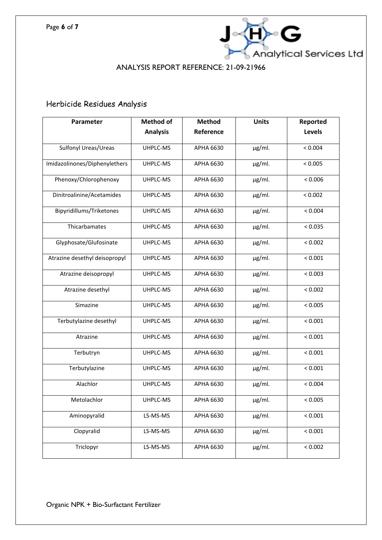

## Herbicide Residues Analysis

| Parameter                     | <b>Method of</b> | <b>Method</b>    | <b>Units</b> | Reported |
|-------------------------------|------------------|------------------|--------------|----------|
|                               | <b>Analysis</b>  | Reference        |              | Levels   |
| Sulfonyl Ureas/Ureas          | UHPLC-MS         | APHA 6630        | $\mu$ g/ml.  | < 0.004  |
| Imidazolinones/Diphenylethers | UHPLC-MS         | APHA 6630        | $\mu$ g/ml.  | < 0.005  |
| Phenoxy/Chlorophenoxy         | UHPLC-MS         | APHA 6630        | $\mu$ g/ml.  | < 0.006  |
| Dinitroalinine/Acetamides     | UHPLC-MS         | APHA 6630        | $\mu$ g/ml.  | < 0.002  |
| Bipyridillums/Triketones      | UHPLC-MS         | APHA 6630        | $\mu$ g/ml.  | < 0.004  |
| Thicarbamates                 | UHPLC-MS         | <b>APHA 6630</b> | $\mu$ g/ml.  | < 0.035  |
| Glyphosate/Glufosinate        | UHPLC-MS         | <b>APHA 6630</b> | µg/ml.       | < 0.002  |
| Atrazine desethyl deisopropyl | UHPLC-MS         | <b>APHA 6630</b> | $\mu$ g/ml.  | < 0.001  |
| Atrazine deisopropyl          | UHPLC-MS         | APHA 6630        | $\mu$ g/ml.  | < 0.003  |
| Atrazine desethyl             | UHPLC-MS         | APHA 6630        | $\mu$ g/ml.  | < 0.002  |
| Simazine                      | UHPLC-MS         | APHA 6630        | $\mu$ g/ml.  | < 0.005  |
| Terbutylazine desethyl        | UHPLC-MS         | APHA 6630        | $\mu$ g/ml.  | < 0.001  |
| Atrazine                      | UHPLC-MS         | APHA 6630        | $\mu$ g/ml.  | < 0.001  |
| Terbutryn                     | UHPLC-MS         | APHA 6630        | µg/ml.       | < 0.001  |
| Terbutylazine                 | UHPLC-MS         | APHA 6630        | $\mu$ g/ml.  | < 0.001  |
| Alachlor                      | UHPLC-MS         | APHA 6630        | $\mu$ g/ml.  | < 0.004  |
| Metolachlor                   | UHPLC-MS         | <b>APHA 6630</b> | $\mu$ g/ml.  | < 0.005  |
| Aminopyralid                  | LS-MS-MS         | APHA 6630        | $\mu$ g/ml.  | < 0.001  |
| Clopyralid                    | LS-MS-MS         | APHA 6630        | $\mu$ g/ml.  | < 0.001  |
| Triclopyr                     | LS-MS-MS         | APHA 6630        | µg/ml.       | < 0.002  |